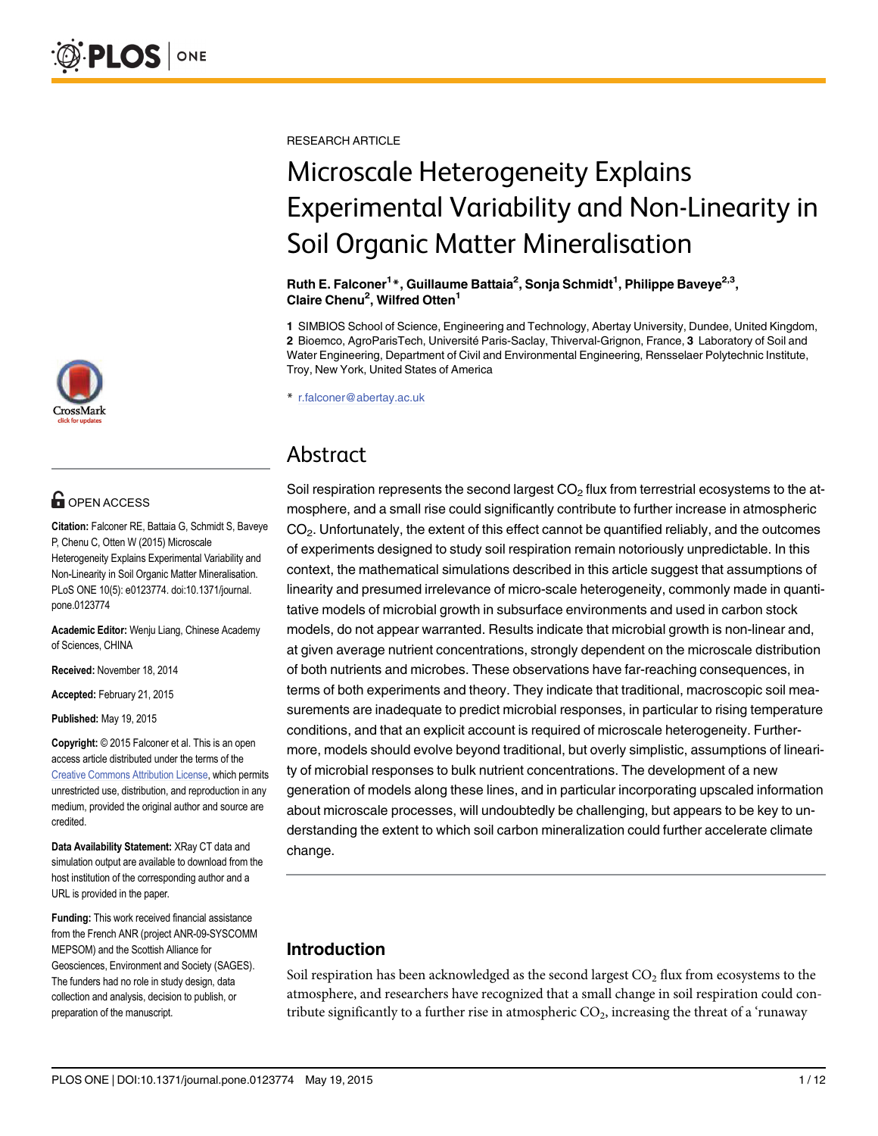

# **OPEN ACCESS**

Citation: Falconer RE, Battaia G, Schmidt S, Baveye P, Chenu C, Otten W (2015) Microscale Heterogeneity Explains Experimental Variability and Non-Linearity in Soil Organic Matter Mineralisation. PLoS ONE 10(5): e0123774. doi:10.1371/journal. pone.0123774

Academic Editor: Wenju Liang, Chinese Academy of Sciences, CHINA

Received: November 18, 2014

Accepted: February 21, 2015

Published: May 19, 2015

Copyright: © 2015 Falconer et al. This is an open access article distributed under the terms of the [Creative Commons Attribution License,](http://creativecommons.org/licenses/by/4.0/) which permits unrestricted use, distribution, and reproduction in any medium, provided the original author and source are credited.

Data Availability Statement: XRay CT data and simulation output are available to download from the host institution of the corresponding author and a URL is provided in the paper.

Funding: This work received financial assistance from the French ANR (project ANR-09-SYSCOMM MEPSOM) and the Scottish Alliance for Geosciences, Environment and Society (SAGES). The funders had no role in study design, data collection and analysis, decision to publish, or preparation of the manuscript.

RESEARCH ARTICLE

# Microscale Heterogeneity Explains Experimental Variability and Non-Linearity in Soil Organic Matter Mineralisation

Ruth E. Falconer<sup>1</sup>\*, Guillaume Battaia<sup>2</sup>, Sonja Schmidt<sup>1</sup>, Philippe Baveye<sup>2,3</sup>, Claire Chenu<sup>2</sup>, Wilfred Otten<sup>1</sup>

1 SIMBIOS School of Science, Engineering and Technology, Abertay University, Dundee, United Kingdom, 2 Bioemco, AgroParisTech, Université Paris-Saclay, Thiverval-Grignon, France, 3 Laboratory of Soil and Water Engineering, Department of Civil and Environmental Engineering, Rensselaer Polytechnic Institute, Troy, New York, United States of America

\* r.falconer@abertay.ac.uk

# Abstract

Soil respiration represents the second largest  $CO<sub>2</sub>$  flux from terrestrial ecosystems to the atmosphere, and a small rise could significantly contribute to further increase in atmospheric  $CO<sub>2</sub>$ . Unfortunately, the extent of this effect cannot be quantified reliably, and the outcomes of experiments designed to study soil respiration remain notoriously unpredictable. In this context, the mathematical simulations described in this article suggest that assumptions of linearity and presumed irrelevance of micro-scale heterogeneity, commonly made in quantitative models of microbial growth in subsurface environments and used in carbon stock models, do not appear warranted. Results indicate that microbial growth is non-linear and, at given average nutrient concentrations, strongly dependent on the microscale distribution of both nutrients and microbes. These observations have far-reaching consequences, in terms of both experiments and theory. They indicate that traditional, macroscopic soil measurements are inadequate to predict microbial responses, in particular to rising temperature conditions, and that an explicit account is required of microscale heterogeneity. Furthermore, models should evolve beyond traditional, but overly simplistic, assumptions of linearity of microbial responses to bulk nutrient concentrations. The development of a new generation of models along these lines, and in particular incorporating upscaled information about microscale processes, will undoubtedly be challenging, but appears to be key to understanding the extent to which soil carbon mineralization could further accelerate climate change.

## Introduction

Soil respiration has been acknowledged as the second largest  $CO<sub>2</sub>$  flux from ecosystems to the atmosphere, and researchers have recognized that a small change in soil respiration could contribute significantly to a further rise in atmospheric  $CO<sub>2</sub>$ , increasing the threat of a 'runaway'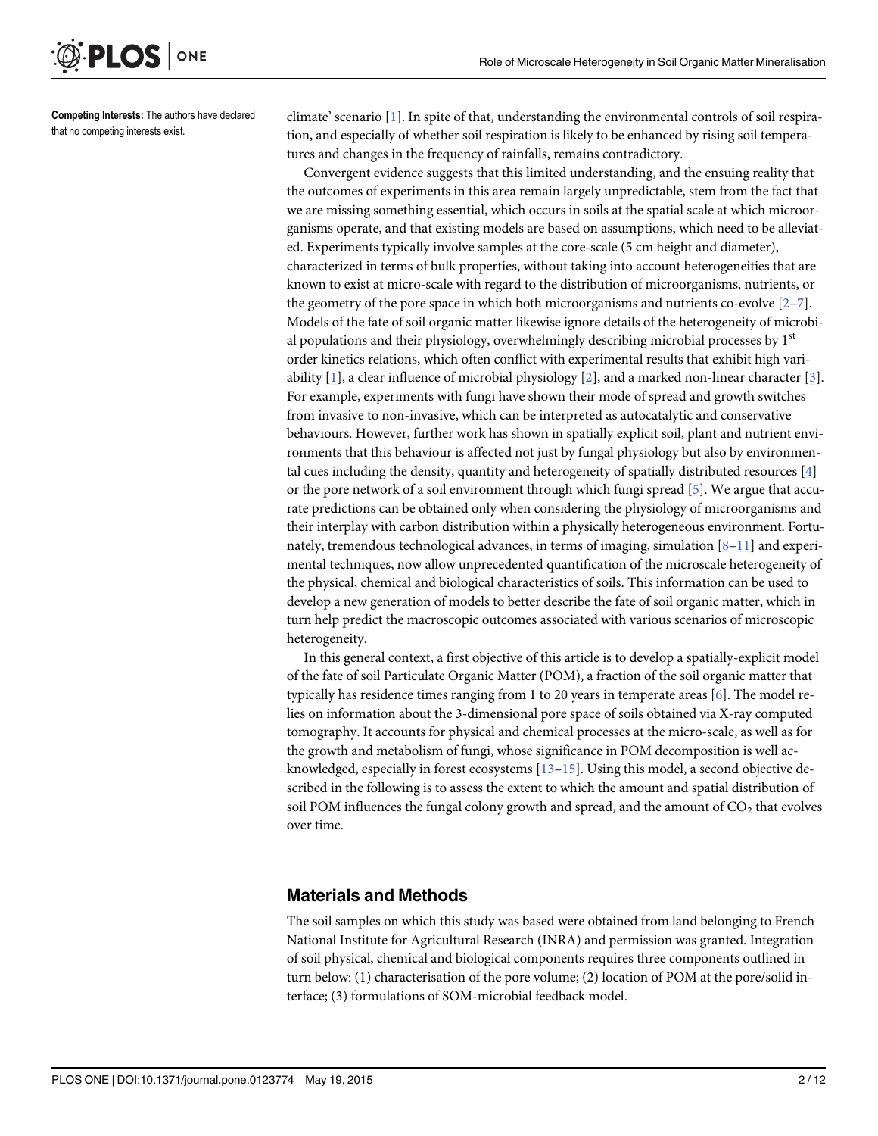Competing Interests: The authors have declared that no competing interests exist.

ONE

<span id="page-1-0"></span>**PLOS**I

climate' scenario [\[1\]](#page-10-0). In spite of that, understanding the environmental controls of soil respiration, and especially of whether soil respiration is likely to be enhanced by rising soil temperatures and changes in the frequency of rainfalls, remains contradictory.

Convergent evidence suggests that this limited understanding, and the ensuing reality that the outcomes of experiments in this area remain largely unpredictable, stem from the fact that we are missing something essential, which occurs in soils at the spatial scale at which microorganisms operate, and that existing models are based on assumptions, which need to be alleviated. Experiments typically involve samples at the core-scale (5 cm height and diameter), characterized in terms of bulk properties, without taking into account heterogeneities that are known to exist at micro-scale with regard to the distribution of microorganisms, nutrients, or the geometry of the pore space in which both microorganisms and nutrients co-evolve  $[2-7]$  $[2-7]$  $[2-7]$ . Models of the fate of soil organic matter likewise ignore details of the heterogeneity of microbial populations and their physiology, overwhelmingly describing microbial processes by  $1<sup>st</sup>$ order kinetics relations, which often conflict with experimental results that exhibit high vari-ability [\[1](#page-10-0)], a clear influence of microbial physiology [[2](#page-10-0)], and a marked non-linear character [\[3](#page-10-0)]. For example, experiments with fungi have shown their mode of spread and growth switches from invasive to non-invasive, which can be interpreted as autocatalytic and conservative behaviours. However, further work has shown in spatially explicit soil, plant and nutrient environments that this behaviour is affected not just by fungal physiology but also by environmental cues including the density, quantity and heterogeneity of spatially distributed resources [[4\]](#page-10-0) or the pore network of a soil environment through which fungi spread [\[5\]](#page-10-0). We argue that accurate predictions can be obtained only when considering the physiology of microorganisms and their interplay with carbon distribution within a physically heterogeneous environment. Fortunately, tremendous technological advances, in terms of imaging, simulation  $[8-11]$  $[8-11]$  $[8-11]$  $[8-11]$  $[8-11]$  and experimental techniques, now allow unprecedented quantification of the microscale heterogeneity of the physical, chemical and biological characteristics of soils. This information can be used to develop a new generation of models to better describe the fate of soil organic matter, which in turn help predict the macroscopic outcomes associated with various scenarios of microscopic heterogeneity.

In this general context, a first objective of this article is to develop a spatially-explicit model of the fate of soil Particulate Organic Matter (POM), a fraction of the soil organic matter that typically has residence times ranging from 1 to 20 years in temperate areas [\[6\]](#page-10-0). The model relies on information about the 3-dimensional pore space of soils obtained via X-ray computed tomography. It accounts for physical and chemical processes at the micro-scale, as well as for the growth and metabolism of fungi, whose significance in POM decomposition is well acknowledged, especially in forest ecosystems  $[13-15]$  $[13-15]$  $[13-15]$  $[13-15]$ . Using this model, a second objective described in the following is to assess the extent to which the amount and spatial distribution of soil POM influences the fungal colony growth and spread, and the amount of  $CO<sub>2</sub>$  that evolves over time.

#### Materials and Methods

The soil samples on which this study was based were obtained from land belonging to French National Institute for Agricultural Research (INRA) and permission was granted. Integration of soil physical, chemical and biological components requires three components outlined in turn below: (1) characterisation of the pore volume; (2) location of POM at the pore/solid interface; (3) formulations of SOM-microbial feedback model.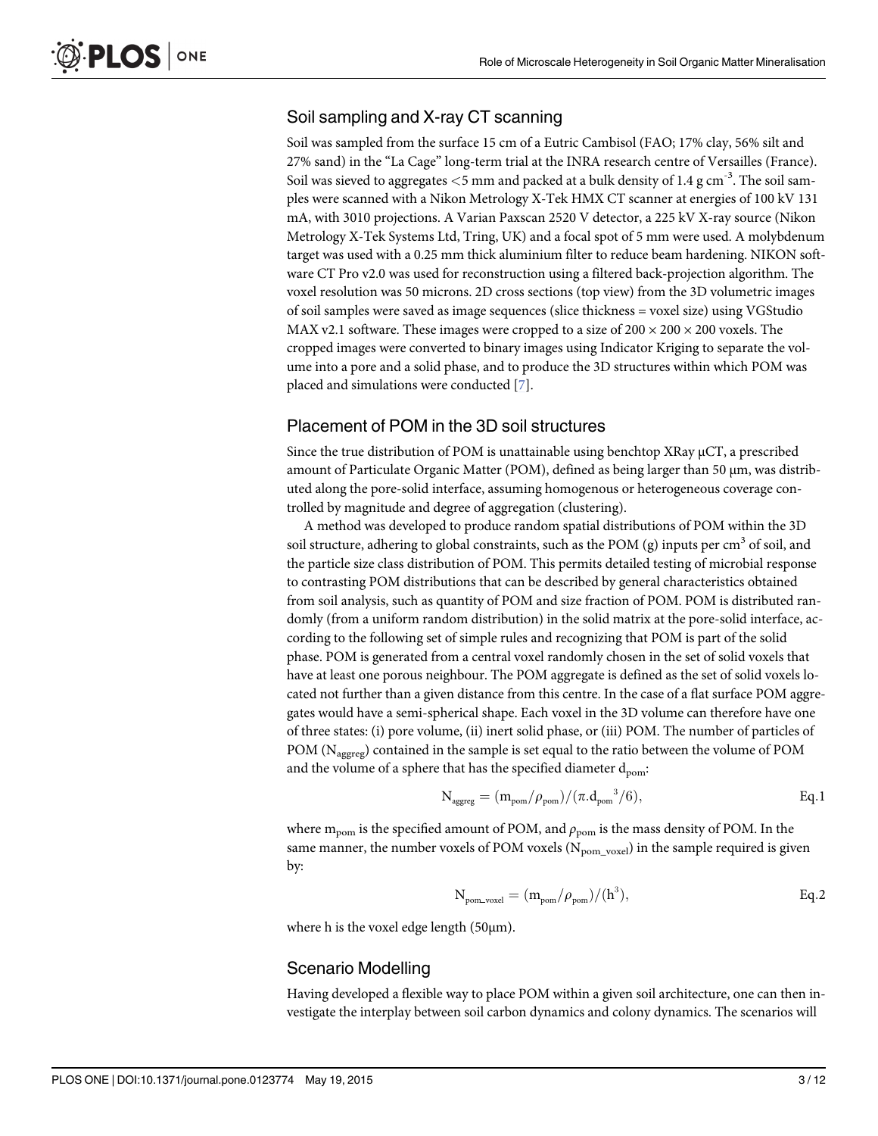## Soil sampling and X-ray CT scanning

Soil was sampled from the surface 15 cm of a Eutric Cambisol (FAO; 17% clay, 56% silt and 27% sand) in the "La Cage" long-term trial at the INRA research centre of Versailles (France). Soil was sieved to aggregates  $<$  5 mm and packed at a bulk density of 1.4 g cm<sup>-3</sup>. The soil samples were scanned with a Nikon Metrology X-Tek HMX CT scanner at energies of 100 kV 131 mA, with 3010 projections. A Varian Paxscan 2520 V detector, a 225 kV X-ray source (Nikon Metrology X-Tek Systems Ltd, Tring, UK) and a focal spot of 5 mm were used. A molybdenum target was used with a 0.25 mm thick aluminium filter to reduce beam hardening. NIKON software CT Pro v2.0 was used for reconstruction using a filtered back-projection algorithm. The voxel resolution was 50 microns. 2D cross sections (top view) from the 3D volumetric images of soil samples were saved as image sequences (slice thickness = voxel size) using VGStudio MAX v2.1 software. These images were cropped to a size of  $200 \times 200 \times 200$  voxels. The cropped images were converted to binary images using Indicator Kriging to separate the volume into a pore and a solid phase, and to produce the 3D structures within which POM was placed and simulations were conducted [[7](#page-11-0)].

## Placement of POM in the 3D soil structures

Since the true distribution of POM is unattainable using benchtop  $XRay \mu CT$ , a prescribed amount of Particulate Organic Matter (POM), defined as being larger than 50 μm, was distributed along the pore-solid interface, assuming homogenous or heterogeneous coverage controlled by magnitude and degree of aggregation (clustering).

A method was developed to produce random spatial distributions of POM within the 3D soil structure, adhering to global constraints, such as the POM (g) inputs per cm<sup>3</sup> of soil, and the particle size class distribution of POM. This permits detailed testing of microbial response to contrasting POM distributions that can be described by general characteristics obtained from soil analysis, such as quantity of POM and size fraction of POM. POM is distributed randomly (from a uniform random distribution) in the solid matrix at the pore-solid interface, according to the following set of simple rules and recognizing that POM is part of the solid phase. POM is generated from a central voxel randomly chosen in the set of solid voxels that have at least one porous neighbour. The POM aggregate is defined as the set of solid voxels located not further than a given distance from this centre. In the case of a flat surface POM aggregates would have a semi-spherical shape. Each voxel in the 3D volume can therefore have one of three states: (i) pore volume, (ii) inert solid phase, or (iii) POM. The number of particles of POM (N<sub>aggreg</sub>) contained in the sample is set equal to the ratio between the volume of POM and the volume of a sphere that has the specified diameter  $d_{\text{pom}}$ :

$$
N_{\text{aggreg}} = (m_{\text{pom}}/\rho_{\text{pom}})/(\pi.A_{\text{pom}}^{3}/6), \hspace{3cm} \text{Eq.1}
$$

where  $m_{\text{pom}}$  is the specified amount of POM, and  $\rho_{\text{pom}}$  is the mass density of POM. In the same manner, the number voxels of POM voxels  $(N_{\text{pom yoxel}})$  in the sample required is given by:

$$
N_{\text{pom\_voxel}} = (m_{\text{pom}}/\rho_{\text{pom}})/(h^3), \qquad \qquad Eq.2
$$

where h is the voxel edge length  $(50 \mu m)$ .

## Scenario Modelling

Having developed a flexible way to place POM within a given soil architecture, one can then investigate the interplay between soil carbon dynamics and colony dynamics. The scenarios will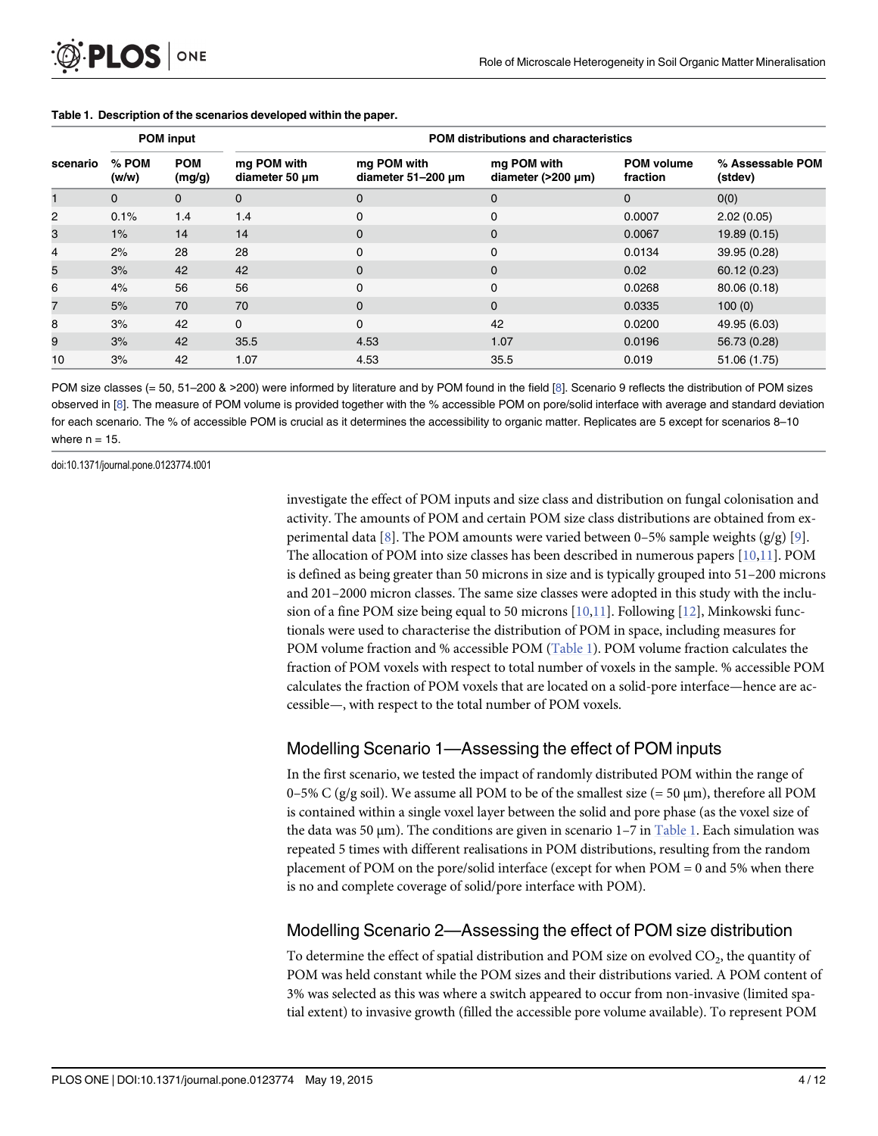| scenario       | <b>POM</b> input |                      | POM distributions and characteristics |                                   |                                        |                               |                             |  |
|----------------|------------------|----------------------|---------------------------------------|-----------------------------------|----------------------------------------|-------------------------------|-----------------------------|--|
|                | $%$ POM<br>(w/w) | <b>POM</b><br>(mg/g) | mg POM with<br>diameter 50 um         | mg POM with<br>diameter 51-200 um | mg POM with<br>diameter $(>200 \mu m)$ | <b>POM</b> volume<br>fraction | % Assessable POM<br>(stdev) |  |
|                | $\Omega$         | $\mathbf{0}$         | $\mathbf{0}$                          | $\Omega$                          | $\Omega$                               | $\Omega$                      | O(0)                        |  |
| 2              | 0.1%             | 1.4                  | 1.4                                   | $\Omega$                          | 0                                      | 0.0007                        | 2.02(0.05)                  |  |
| 3              | 1%               | 14                   | 14                                    | $\Omega$                          | $\mathbf 0$                            | 0.0067                        | 19.89(0.15)                 |  |
| 4              | 2%               | 28                   | 28                                    | $\Omega$                          | $\Omega$                               | 0.0134                        | 39.95 (0.28)                |  |
| 5              | 3%               | 42                   | 42                                    | $\Omega$                          | $\Omega$                               | 0.02                          | 60.12 (0.23)                |  |
| 6              | 4%               | 56                   | 56                                    | $\Omega$                          | $\Omega$                               | 0.0268                        | 80.06 (0.18)                |  |
| $\overline{7}$ | 5%               | 70                   | 70                                    | $\Omega$                          | $\Omega$                               | 0.0335                        | 100(0)                      |  |
| 8              | 3%               | 42                   | 0                                     | $\Omega$                          | 42                                     | 0.0200                        | 49.95 (6.03)                |  |
| 9              | 3%               | 42                   | 35.5                                  | 4.53                              | 1.07                                   | 0.0196                        | 56.73 (0.28)                |  |
| 10             | 3%               | 42                   | 1.07                                  | 4.53                              | 35.5                                   | 0.019                         | 51.06 (1.75)                |  |

#### <span id="page-3-0"></span>Table 1. Description of the scenarios developed within the paper.

POM size classes (= 50, 51-200 & >200) were informed by literature and by POM found in the field [\[8\]](#page-11-0). Scenario 9 reflects the distribution of POM sizes observed in [\[8\]](#page-11-0). The measure of POM volume is provided together with the % accessible POM on pore/solid interface with average and standard deviation for each scenario. The % of accessible POM is crucial as it determines the accessibility to organic matter. Replicates are 5 except for scenarios 8–10 where  $n = 15$ .

doi:10.1371/journal.pone.0123774.t001

investigate the effect of POM inputs and size class and distribution on fungal colonisation and activity. The amounts of POM and certain POM size class distributions are obtained from ex-perimental data [\[8\]](#page-11-0). The POM amounts were varied between 0–5% sample weights (g/g) [\[9](#page-11-0)]. The allocation of POM into size classes has been described in numerous papers [\[10,11](#page-11-0)]. POM is defined as being greater than 50 microns in size and is typically grouped into 51–200 microns and 201–2000 micron classes. The same size classes were adopted in this study with the inclusion of a fine POM size being equal to 50 microns  $[10,11]$  $[10,11]$  $[10,11]$ . Following  $[12]$ , Minkowski functionals were used to characterise the distribution of POM in space, including measures for POM volume fraction and % accessible POM (Table 1). POM volume fraction calculates the fraction of POM voxels with respect to total number of voxels in the sample. % accessible POM calculates the fraction of POM voxels that are located on a solid-pore interface—hence are accessible—, with respect to the total number of POM voxels.

## Modelling Scenario 1—Assessing the effect of POM inputs

In the first scenario, we tested the impact of randomly distributed POM within the range of 0–5% C (g/g soil). We assume all POM to be of the smallest size (= 50  $\mu$ m), therefore all POM is contained within a single voxel layer between the solid and pore phase (as the voxel size of the data was 50 μm). The conditions are given in scenario 1–7 in Table 1. Each simulation was repeated 5 times with different realisations in POM distributions, resulting from the random placement of POM on the pore/solid interface (except for when POM = 0 and 5% when there is no and complete coverage of solid/pore interface with POM).

## Modelling Scenario 2—Assessing the effect of POM size distribution

To determine the effect of spatial distribution and POM size on evolved  $CO<sub>2</sub>$ , the quantity of POM was held constant while the POM sizes and their distributions varied. A POM content of 3% was selected as this was where a switch appeared to occur from non-invasive (limited spatial extent) to invasive growth (filled the accessible pore volume available). To represent POM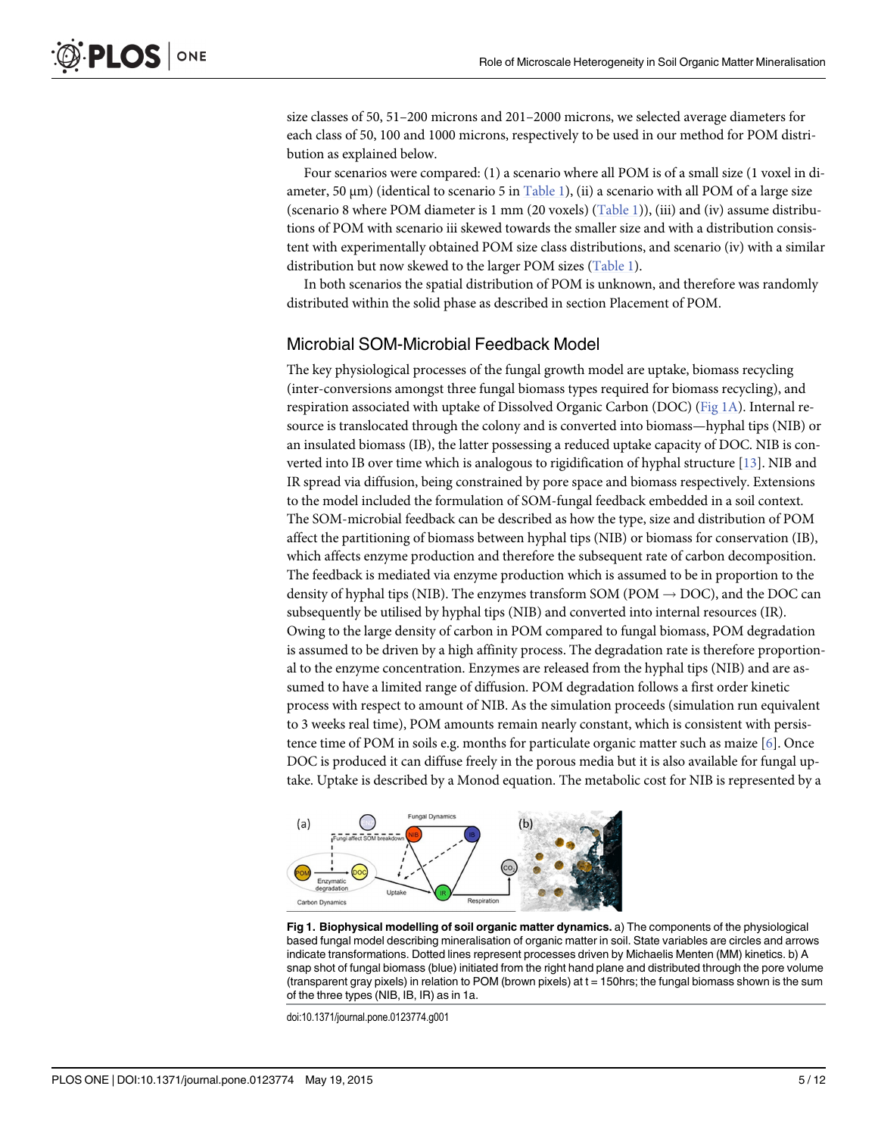size classes of 50, 51–200 microns and 201–2000 microns, we selected average diameters for each class of 50, 100 and 1000 microns, respectively to be used in our method for POM distribution as explained below.

Four scenarios were compared: (1) a scenario where all POM is of a small size (1 voxel in diameter, 50 μm) (identical to scenario 5 in [Table 1](#page-3-0)), (ii) a scenario with all POM of a large size (scenario 8 where POM diameter is 1 mm (20 voxels)  $(Table 1)$ , (iii) and (iv) assume distributions of POM with scenario iii skewed towards the smaller size and with a distribution consistent with experimentally obtained POM size class distributions, and scenario (iv) with a similar distribution but now skewed to the larger POM sizes [\(Table 1](#page-3-0)).

In both scenarios the spatial distribution of POM is unknown, and therefore was randomly distributed within the solid phase as described in section Placement of POM.

#### Microbial SOM-Microbial Feedback Model

The key physiological processes of the fungal growth model are uptake, biomass recycling (inter-conversions amongst three fungal biomass types required for biomass recycling), and respiration associated with uptake of Dissolved Organic Carbon (DOC) (Fig 1A). Internal resource is translocated through the colony and is converted into biomass—hyphal tips (NIB) or an insulated biomass (IB), the latter possessing a reduced uptake capacity of DOC. NIB is converted into IB over time which is analogous to rigidification of hyphal structure [\[13](#page-11-0)]. NIB and IR spread via diffusion, being constrained by pore space and biomass respectively. Extensions to the model included the formulation of SOM-fungal feedback embedded in a soil context. The SOM-microbial feedback can be described as how the type, size and distribution of POM affect the partitioning of biomass between hyphal tips (NIB) or biomass for conservation (IB), which affects enzyme production and therefore the subsequent rate of carbon decomposition. The feedback is mediated via enzyme production which is assumed to be in proportion to the density of hyphal tips (NIB). The enzymes transform SOM (POM  $\rightarrow$  DOC), and the DOC can subsequently be utilised by hyphal tips (NIB) and converted into internal resources (IR). Owing to the large density of carbon in POM compared to fungal biomass, POM degradation is assumed to be driven by a high affinity process. The degradation rate is therefore proportional to the enzyme concentration. Enzymes are released from the hyphal tips (NIB) and are assumed to have a limited range of diffusion. POM degradation follows a first order kinetic process with respect to amount of NIB. As the simulation proceeds (simulation run equivalent to 3 weeks real time), POM amounts remain nearly constant, which is consistent with persistence time of POM in soils e.g. months for particulate organic matter such as maize [\[6](#page-10-0)]. Once DOC is produced it can diffuse freely in the porous media but it is also available for fungal uptake. Uptake is described by a Monod equation. The metabolic cost for NIB is represented by a



Fig 1. Biophysical modelling of soil organic matter dynamics. a) The components of the physiological based fungal model describing mineralisation of organic matter in soil. State variables are circles and arrows indicate transformations. Dotted lines represent processes driven by Michaelis Menten (MM) kinetics. b) A snap shot of fungal biomass (blue) initiated from the right hand plane and distributed through the pore volume (transparent gray pixels) in relation to POM (brown pixels) at  $t = 150$ hrs; the fungal biomass shown is the sum of the three types (NIB, IB, IR) as in 1a.

doi:10.1371/journal.pone.0123774.g001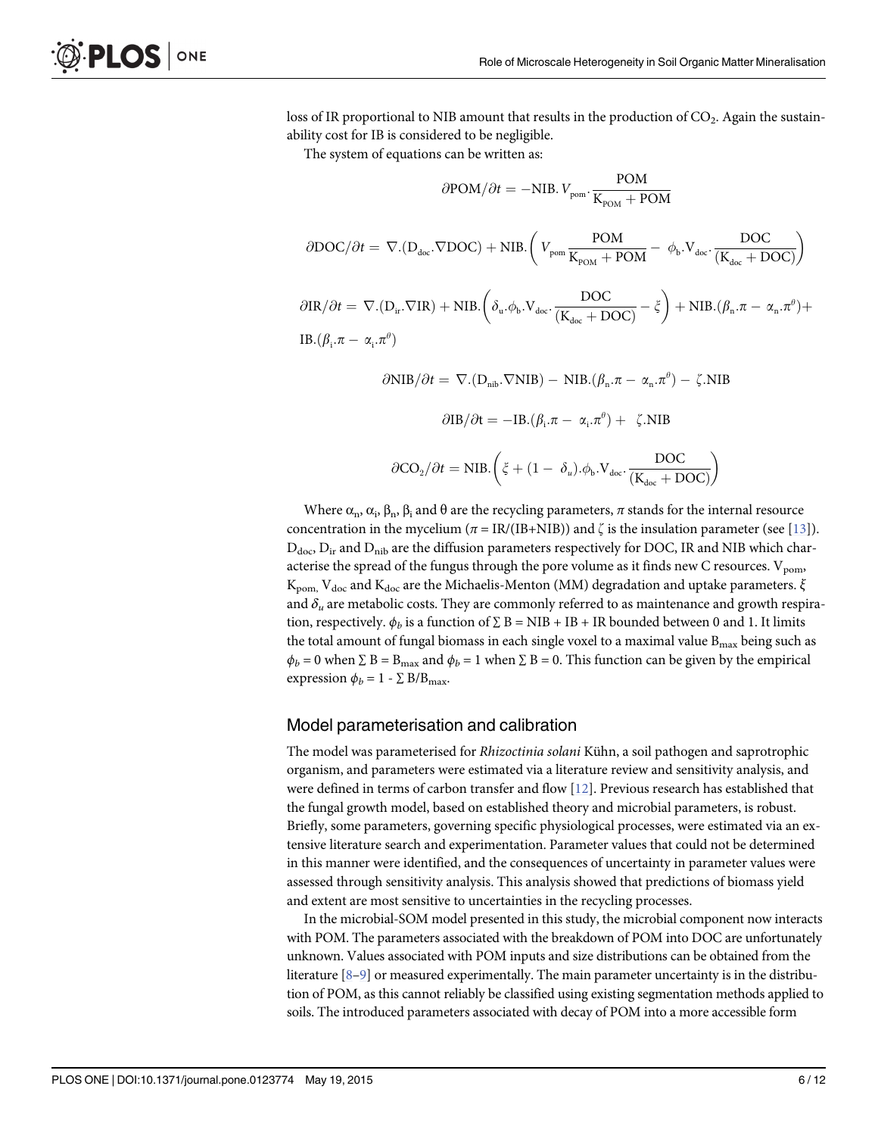loss of IR proportional to NIB amount that results in the production of CO<sub>2</sub>. Again the sustainability cost for IB is considered to be negligible.

The system of equations can be written as:

$$
\frac{\partial POM}{\partial t} = -NIB. V_{\text{pom}} \cdot \frac{POM}{K_{\text{POM}} + POM}
$$

$$
\partial \text{DOC}/\partial t = \nabla.(D_{doc}.\nabla \text{DOC}) + \text{NIB.}\bigg(V_{pon}\frac{\text{POM}}{K_{POM}+\text{POM}}-\ \phi_b.V_{doc}.\frac{\text{DOC}}{(K_{doc}+\text{DOC})}\bigg)
$$

$$
\frac{\partial IR}{\partial t} = \nabla.(D_{ir}.\nabla IR) + \text{NIB}.\left(\delta_u.\phi_b.V_{doc}.\frac{\text{DOC}}{(K_{doc} + \text{DOC})} - \xi\right) + \text{NIB}.(\beta_n.\pi - \alpha_n.\pi^{\theta}) + \text{IB}.(\beta_i.\pi - \alpha_i.\pi^{\theta})
$$

 $\partial \text{NIB}/\partial t = \nabla .(\text{D}_{\text{nib}}.\nabla \text{NIB}) - \text{NIB}.(\beta_{\text{n}}.\pi - \alpha_{\text{n}}.\pi^{\theta}) - \zeta \text{.NIB}$  $\partial \text{IB}/\partial \text{t} = -\text{IB}.(\beta_i . \pi - \alpha_i . \pi^\theta) + \zeta . \text{NIB}$  $\partial \mathcal{O} \mathcal{O}_2 / \partial t = \text{NIB}.\left( \xi + (1 - \delta_u) . \phi_b . \mathcal{V}_{\text{doc}} . \frac{\text{DOC}}{(K + D)} \right)$  $(K_{doc} + DOC)$  $\left( \begin{array}{ccc} 0 & 0 & 0 \\ 0 & 0 & 0 \end{array} \right)$ 

Where  $\alpha_n$ ,  $\alpha_i$ ,  $\beta_n$ ,  $\beta_i$  and  $\theta$  are the recycling parameters,  $\pi$  stands for the internal resource concentration in the mycelium ( $\pi = IR/(IB+NIB)$ ) and  $\zeta$  is the insulation parameter (see [[13\]](#page-11-0)).  $D_{\text{doc}}$ ,  $D_{\text{ir}}$  and  $D_{\text{nih}}$  are the diffusion parameters respectively for DOC, IR and NIB which characterise the spread of the fungus through the pore volume as it finds new C resources.  $V_{\text{pom}}$ ,  $K_{\text{pom}}$ ,  $V_{\text{doc}}$  and  $K_{\text{doc}}$  are the Michaelis-Menton (MM) degradation and uptake parameters.  $\xi$ and  $\delta_u$  are metabolic costs. They are commonly referred to as maintenance and growth respiration, respectively.  $\phi_b$  is a function of  $\Sigma$  B = NIB + IB + IR bounded between 0 and 1. It limits the total amount of fungal biomass in each single voxel to a maximal value  $B_{\text{max}}$  being such as  $\phi_b = 0$  when  $\Sigma$  B = B<sub>max</sub> and  $\phi_b = 1$  when  $\Sigma$  B = 0. This function can be given by the empirical expression  $\phi_b = 1 - \Sigma B/B_{\text{max}}$ .

#### Model parameterisation and calibration

The model was parameterised for *Rhizoctinia solani* Kühn, a soil pathogen and saprotrophic organism, and parameters were estimated via a literature review and sensitivity analysis, and were defined in terms of carbon transfer and flow  $[12]$ . Previous research has established that the fungal growth model, based on established theory and microbial parameters, is robust. Briefly, some parameters, governing specific physiological processes, were estimated via an extensive literature search and experimentation. Parameter values that could not be determined in this manner were identified, and the consequences of uncertainty in parameter values were assessed through sensitivity analysis. This analysis showed that predictions of biomass yield and extent are most sensitive to uncertainties in the recycling processes.

In the microbial-SOM model presented in this study, the microbial component now interacts with POM. The parameters associated with the breakdown of POM into DOC are unfortunately unknown. Values associated with POM inputs and size distributions can be obtained from the literature  $[8-9]$  $[8-9]$  $[8-9]$  or measured experimentally. The main parameter uncertainty is in the distribution of POM, as this cannot reliably be classified using existing segmentation methods applied to soils. The introduced parameters associated with decay of POM into a more accessible form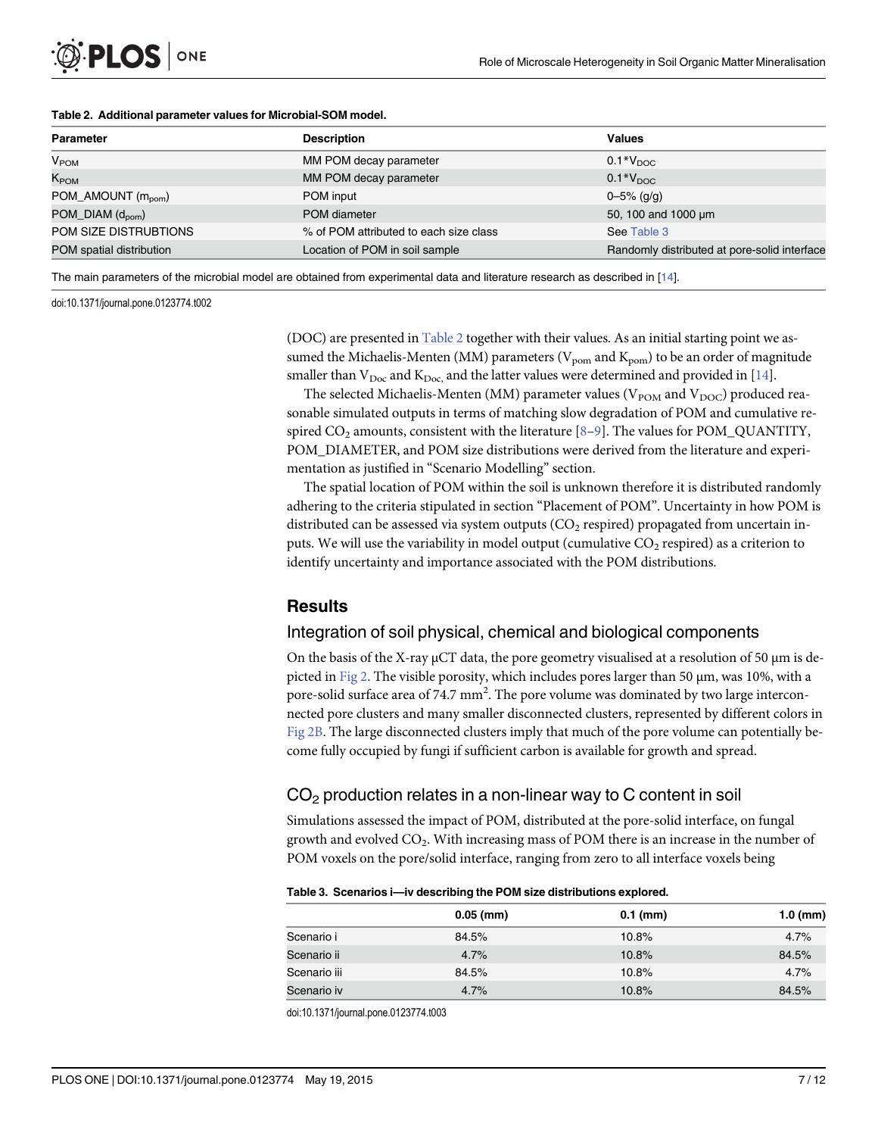| <b>Parameter</b>               | <b>Description</b>                     | <b>Values</b>                                |
|--------------------------------|----------------------------------------|----------------------------------------------|
| V <sub>POM</sub>               | MM POM decay parameter                 | $0.1*VDOC$                                   |
| $K_{\text{POM}}$               | MM POM decay parameter                 | $0.1*VDC$                                    |
| POM_AMOUNT (m <sub>pom</sub> ) | POM input                              | $0 - 5\%$ (g/g)                              |
| POM_DIAM (d <sub>pom</sub> )   | POM diameter                           | 50, 100 and 1000 um                          |
| POM SIZE DISTRUBTIONS          | % of POM attributed to each size class | See Table 3                                  |
| POM spatial distribution       | Location of POM in soil sample         | Randomly distributed at pore-solid interface |

#### <span id="page-6-0"></span>Table 2. Additional parameter values for Microbial-SOM model.

The main parameters of the microbial model are obtained from experimental data and literature research as described in [\[14\]](#page-11-0).

doi:10.1371/journal.pone.0123774.t002

(DOC) are presented in  $Table 2$  together with their values. As an initial starting point we assumed the Michaelis-Menten (MM) parameters ( $V_{\text{pom}}$  and  $K_{\text{pom}}$ ) to be an order of magnitude smaller than  $V_{Doc}$  and  $K_{Doc}$ , and the latter values were determined and provided in [[14](#page-11-0)].

The selected Michaelis-Menten (MM) parameter values ( $V_{\text{POM}}$  and  $V_{\text{DOC}}$ ) produced reasonable simulated outputs in terms of matching slow degradation of POM and cumulative respired CO<sub>2</sub> amounts, consistent with the literature  $[8-9]$  $[8-9]$  $[8-9]$  $[8-9]$  $[8-9]$ . The values for POM\_QUANTITY, POM\_DIAMETER, and POM size distributions were derived from the literature and experimentation as justified in "Scenario Modelling" section.

The spatial location of POM within the soil is unknown therefore it is distributed randomly adhering to the criteria stipulated in section "Placement of POM". Uncertainty in how POM is distributed can be assessed via system outputs  $(CO<sub>2</sub>$  respired) propagated from uncertain inputs. We will use the variability in model output (cumulative  $CO<sub>2</sub>$  respired) as a criterion to identify uncertainty and importance associated with the POM distributions.

#### **Results**

#### Integration of soil physical, chemical and biological components

On the basis of the X-ray  $\mu$ CT data, the pore geometry visualised at a resolution of 50  $\mu$ m is depicted in [Fig 2](#page-7-0). The visible porosity, which includes pores larger than 50 μm, was 10%, with a pore-solid surface area of 74.7 mm<sup>2</sup>. The pore volume was dominated by two large interconnected pore clusters and many smaller disconnected clusters, represented by different colors in [Fig 2B](#page-7-0). The large disconnected clusters imply that much of the pore volume can potentially become fully occupied by fungi if sufficient carbon is available for growth and spread.

#### $CO<sub>2</sub>$  production relates in a non-linear way to C content in soil

Simulations assessed the impact of POM, distributed at the pore-solid interface, on fungal growth and evolved  $CO<sub>2</sub>$ . With increasing mass of POM there is an increase in the number of POM voxels on the pore/solid interface, ranging from zero to all interface voxels being

#### Table 3. Scenarios i—iv describing the POM size distributions explored.

|              | $0.05$ (mm) | $0.1$ (mm) | $1.0$ (mm) |
|--------------|-------------|------------|------------|
| Scenario i   | 84.5%       | 10.8%      | 4.7%       |
| Scenario ii  | 4.7%        | 10.8%      | 84.5%      |
| Scenario iii | 84.5%       | 10.8%      | 4.7%       |
| Scenario iv  | 4.7%        | 10.8%      | 84.5%      |

doi:10.1371/journal.pone.0123774.t003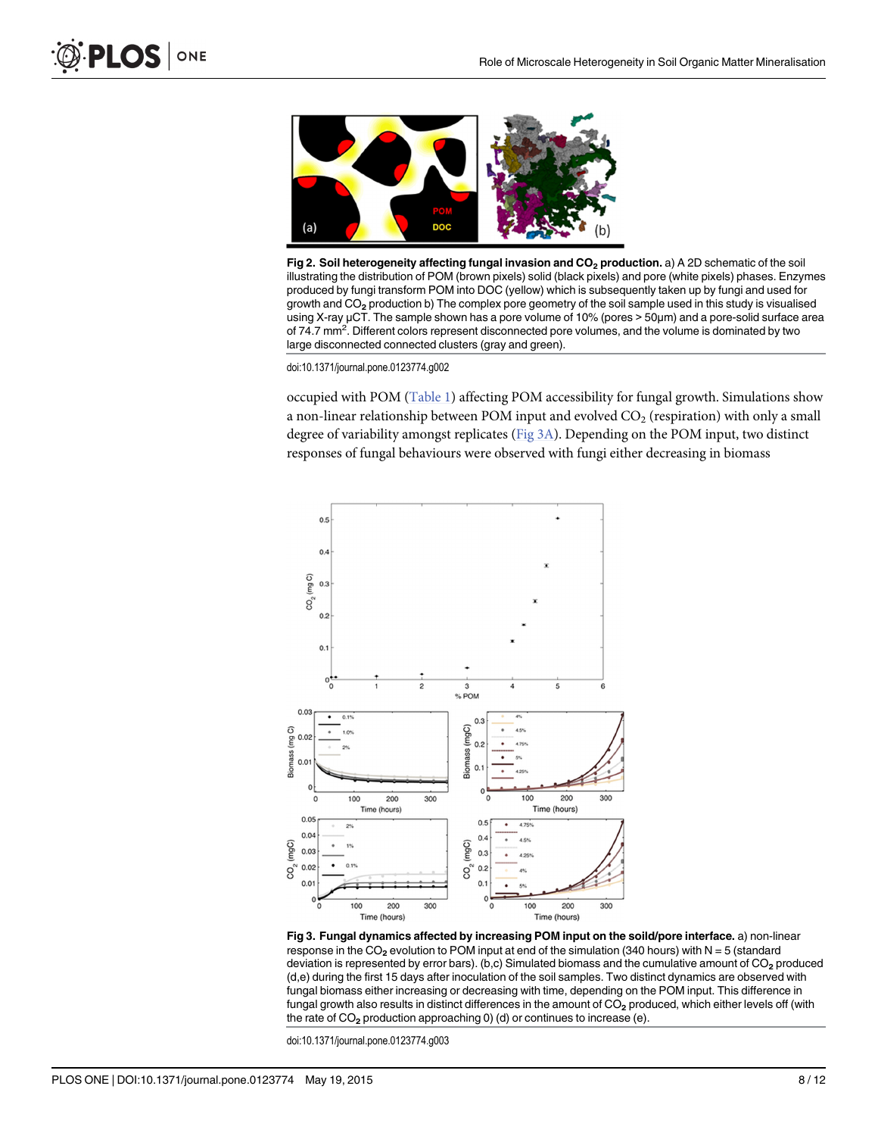<span id="page-7-0"></span>

[Fig 2. S](#page-6-0)oil heterogeneity affecting fungal invasion and  $CO<sub>2</sub>$  production. a) A 2D schematic of the soil illustrating the distribution of POM (brown pixels) solid (black pixels) and pore (white pixels) phases. Enzymes produced by fungi transform POM into DOC (yellow) which is subsequently taken up by fungi and used for growth and CO<sub>2</sub> production b) The complex pore geometry of the soil sample used in this study is visualised using X-ray μCT. The sample shown has a pore volume of 10% (pores > 50μm) and a pore-solid surface area of 74.7 mm<sup>2</sup>. Different colors represent disconnected pore volumes, and the volume is dominated by two large disconnected connected clusters (gray and green).

doi:10.1371/journal.pone.0123774.g002

occupied with POM [\(Table 1\)](#page-3-0) affecting POM accessibility for fungal growth. Simulations show a non-linear relationship between POM input and evolved  $CO<sub>2</sub>$  (respiration) with only a small degree of variability amongst replicates (Fig 3A). Depending on the POM input, two distinct responses of fungal behaviours were observed with fungi either decreasing in biomass



Fig 3. Fungal dynamics affected by increasing POM input on the soild/pore interface. a) non-linear response in the CO<sub>2</sub> evolution to POM input at end of the simulation (340 hours) with  $N = 5$  (standard deviation is represented by error bars). (b,c) Simulated biomass and the cumulative amount of  $CO<sub>2</sub>$  produced (d,e) during the first 15 days after inoculation of the soil samples. Two distinct dynamics are observed with fungal biomass either increasing or decreasing with time, depending on the POM input. This difference in fungal growth also results in distinct differences in the amount of CO<sub>2</sub> produced, which either levels off (with the rate of  $CO<sub>2</sub>$  production approaching 0) (d) or continues to increase (e).

doi:10.1371/journal.pone.0123774.g003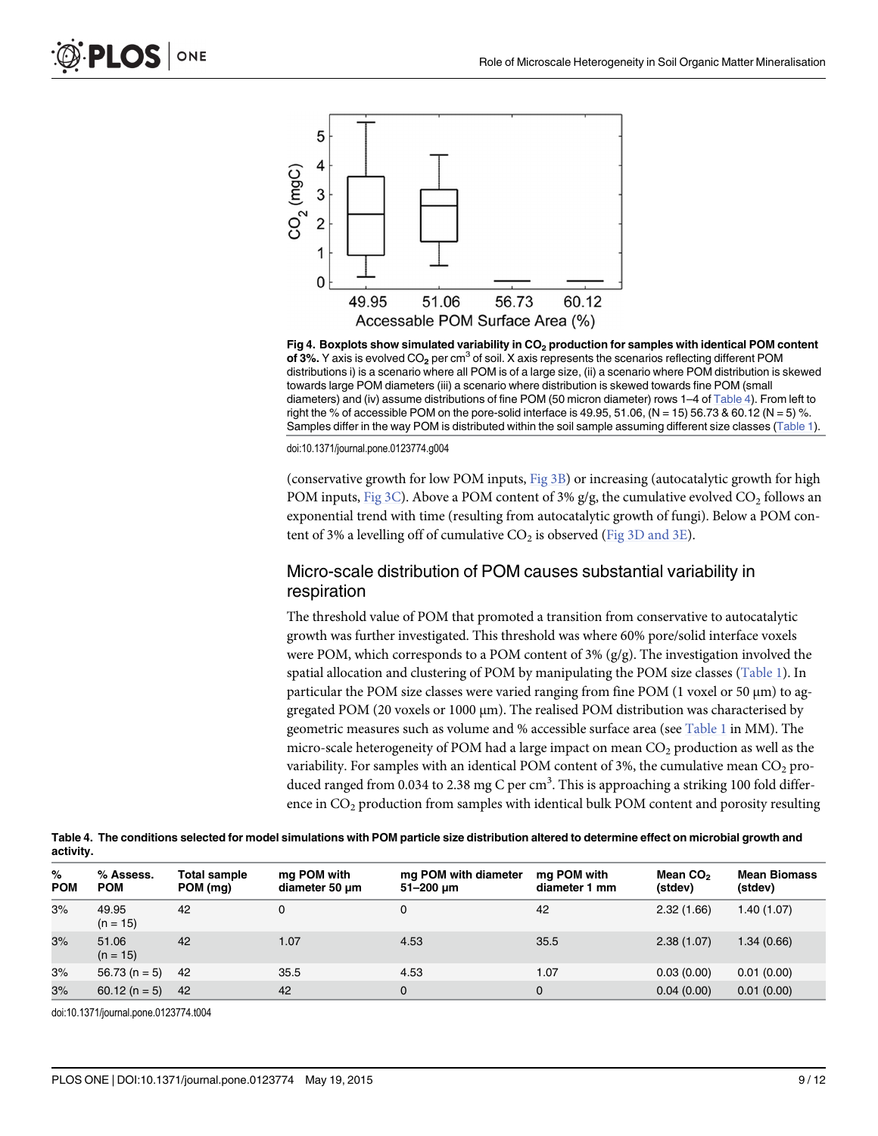<span id="page-8-0"></span>

[Fig 4. B](#page-9-0)oxplots show simulated variability in  $CO<sub>2</sub>$  production for samples with identical POM content of 3%. Y axis is evolved  $CO<sub>2</sub>$  per cm<sup>3</sup> of soil. X axis represents the scenarios reflecting different POM distributions i) is a scenario where all POM is of a large size, (ii) a scenario where POM distribution is skewed towards large POM diameters (iii) a scenario where distribution is skewed towards fine POM (small diameters) and (iv) assume distributions of fine POM (50 micron diameter) rows 1-4 of Table 4). From left to right the % of accessible POM on the pore-solid interface is 49.95, 51.06, (N = 15) 56.73 & 60.12 (N = 5) %. Samples differ in the way POM is distributed within the soil sample assuming different size classes ([Table 1\)](#page-3-0).

doi:10.1371/journal.pone.0123774.g004

(conservative growth for low POM inputs, [Fig 3B\)](#page-7-0) or increasing (autocatalytic growth for high POM inputs,  $Fig 3C$ ). Above a POM content of 3% g/g, the cumulative evolved  $CO<sub>2</sub>$  follows an exponential trend with time (resulting from autocatalytic growth of fungi). Below a POM content of 3% a levelling off of cumulative  $CO_2$  is observed ([Fig 3D and 3E\)](#page-7-0).

#### Micro-scale distribution of POM causes substantial variability in respiration

The threshold value of POM that promoted a transition from conservative to autocatalytic growth was further investigated. This threshold was where 60% pore/solid interface voxels were POM, which corresponds to a POM content of 3% (g/g). The investigation involved the spatial allocation and clustering of POM by manipulating the POM size classes ([Table 1\)](#page-3-0). In particular the POM size classes were varied ranging from fine POM (1 voxel or 50 μm) to aggregated POM (20 voxels or 1000 μm). The realised POM distribution was characterised by geometric measures such as volume and % accessible surface area (see [Table 1](#page-3-0) in MM). The micro-scale heterogeneity of POM had a large impact on mean  $CO<sub>2</sub>$  production as well as the variability. For samples with an identical POM content of 3%, the cumulative mean  $CO<sub>2</sub>$  produced ranged from 0.034 to 2.38 mg C per  $\text{cm}^3$ . This is approaching a striking 100 fold difference in CO<sub>2</sub> production from samples with identical bulk POM content and porosity resulting

|               | Table 4. The conditions selected for model simulations with POM particle size distribution altered to determine effect on microbial growth and<br>activity. |              |                   |                                   |  |                         |              |
|---------------|-------------------------------------------------------------------------------------------------------------------------------------------------------------|--------------|-------------------|-----------------------------------|--|-------------------------|--------------|
| $\mathbf{O}/$ | $0/$ Appens                                                                                                                                                 | Tatal comple | <b>ANDOM</b> with | ma DOM with diamates and DOM with |  | $M_{\rm{max}}$ $\Omega$ | Moon Diamooc |

| %<br><b>POM</b> | % Assess.<br><b>POM</b> | <b>Total sample</b><br>POM (mg) | mg POM with<br>diameter 50 um | mg POM with diameter<br>$51 - 200 \mu m$ | mg POM with<br>diameter 1 mm | Mean CO <sub>2</sub><br>(stdev) | <b>Mean Biomass</b><br>(stdev) |
|-----------------|-------------------------|---------------------------------|-------------------------------|------------------------------------------|------------------------------|---------------------------------|--------------------------------|
| 3%              | 49.95<br>$(n = 15)$     | 42                              | 0                             |                                          | 42                           | 2.32(1.66)                      | 1.40(1.07)                     |
| 3%              | 51.06<br>$(n = 15)$     | 42                              | 1.07                          | 4.53                                     | 35.5                         | 2.38(1.07)                      | 1.34(0.66)                     |
| 3%              | $56.73(n = 5)$          | -42                             | 35.5                          | 4.53                                     | 1.07                         | 0.03(0.00)                      | 0.01(0.00)                     |
| 3%              | $60.12(n = 5)$          | -42                             | 42                            | $\Omega$                                 | $\Omega$                     | 0.04(0.00)                      | 0.01(0.00)                     |

doi:10.1371/journal.pone.0123774.t004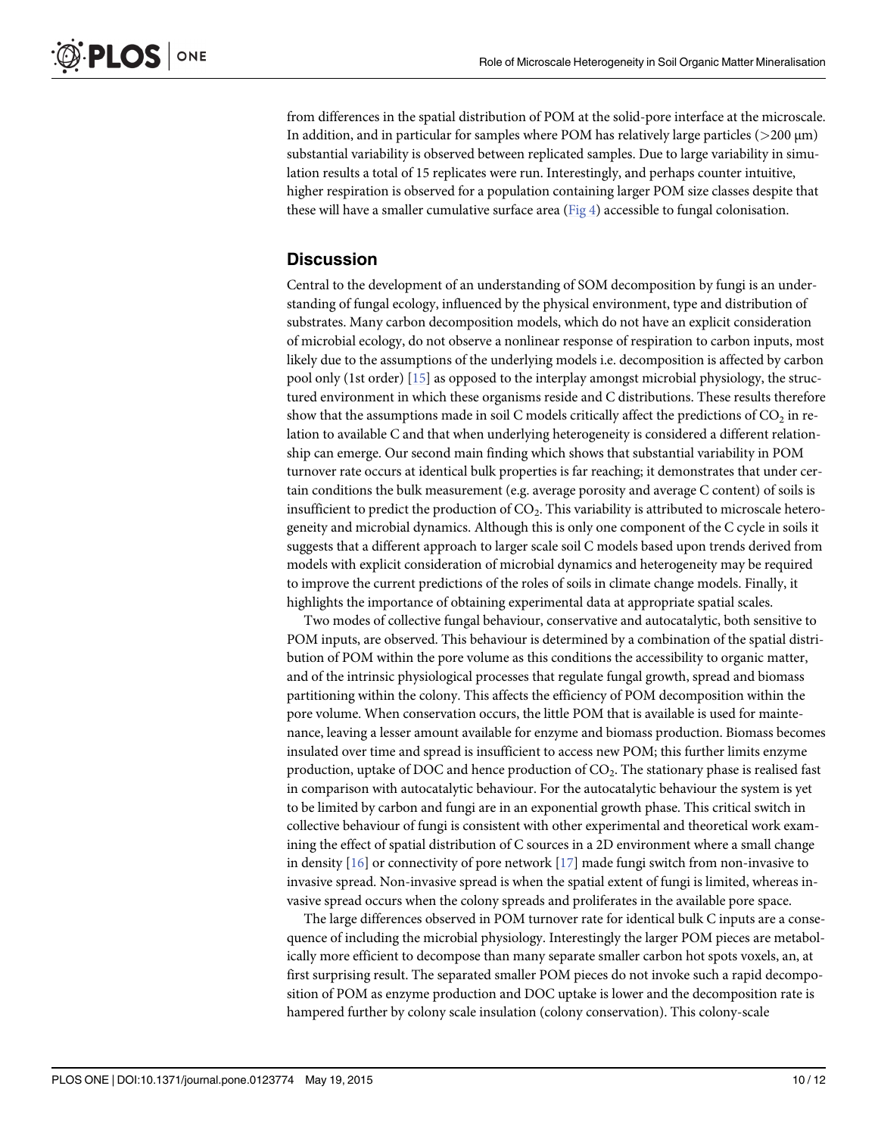<span id="page-9-0"></span>from differences in the spatial distribution of POM at the solid-pore interface at the microscale. In addition, and in particular for samples where POM has relatively large particles ( $>$ 200  $\mu$ m) substantial variability is observed between replicated samples. Due to large variability in simulation results a total of 15 replicates were run. Interestingly, and perhaps counter intuitive, higher respiration is observed for a population containing larger POM size classes despite that these will have a smaller cumulative surface area ( $Fig 4$ ) accessible to fungal colonisation.

#### **Discussion**

Central to the development of an understanding of SOM decomposition by fungi is an understanding of fungal ecology, influenced by the physical environment, type and distribution of substrates. Many carbon decomposition models, which do not have an explicit consideration of microbial ecology, do not observe a nonlinear response of respiration to carbon inputs, most likely due to the assumptions of the underlying models i.e. decomposition is affected by carbon pool only (1st order) [[15](#page-11-0)] as opposed to the interplay amongst microbial physiology, the structured environment in which these organisms reside and C distributions. These results therefore show that the assumptions made in soil C models critically affect the predictions of  $CO<sub>2</sub>$  in relation to available C and that when underlying heterogeneity is considered a different relationship can emerge. Our second main finding which shows that substantial variability in POM turnover rate occurs at identical bulk properties is far reaching; it demonstrates that under certain conditions the bulk measurement (e.g. average porosity and average C content) of soils is insufficient to predict the production of  $CO<sub>2</sub>$ . This variability is attributed to microscale heterogeneity and microbial dynamics. Although this is only one component of the C cycle in soils it suggests that a different approach to larger scale soil C models based upon trends derived from models with explicit consideration of microbial dynamics and heterogeneity may be required to improve the current predictions of the roles of soils in climate change models. Finally, it highlights the importance of obtaining experimental data at appropriate spatial scales.

Two modes of collective fungal behaviour, conservative and autocatalytic, both sensitive to POM inputs, are observed. This behaviour is determined by a combination of the spatial distribution of POM within the pore volume as this conditions the accessibility to organic matter, and of the intrinsic physiological processes that regulate fungal growth, spread and biomass partitioning within the colony. This affects the efficiency of POM decomposition within the pore volume. When conservation occurs, the little POM that is available is used for maintenance, leaving a lesser amount available for enzyme and biomass production. Biomass becomes insulated over time and spread is insufficient to access new POM; this further limits enzyme production, uptake of DOC and hence production of CO2. The stationary phase is realised fast in comparison with autocatalytic behaviour. For the autocatalytic behaviour the system is yet to be limited by carbon and fungi are in an exponential growth phase. This critical switch in collective behaviour of fungi is consistent with other experimental and theoretical work examining the effect of spatial distribution of C sources in a 2D environment where a small change in density  $[16]$  $[16]$  $[16]$  or connectivity of pore network  $[17]$  $[17]$  $[17]$  made fungi switch from non-invasive to invasive spread. Non-invasive spread is when the spatial extent of fungi is limited, whereas invasive spread occurs when the colony spreads and proliferates in the available pore space.

The large differences observed in POM turnover rate for identical bulk C inputs are a consequence of including the microbial physiology. Interestingly the larger POM pieces are metabolically more efficient to decompose than many separate smaller carbon hot spots voxels, an, at first surprising result. The separated smaller POM pieces do not invoke such a rapid decomposition of POM as enzyme production and DOC uptake is lower and the decomposition rate is hampered further by colony scale insulation (colony conservation). This colony-scale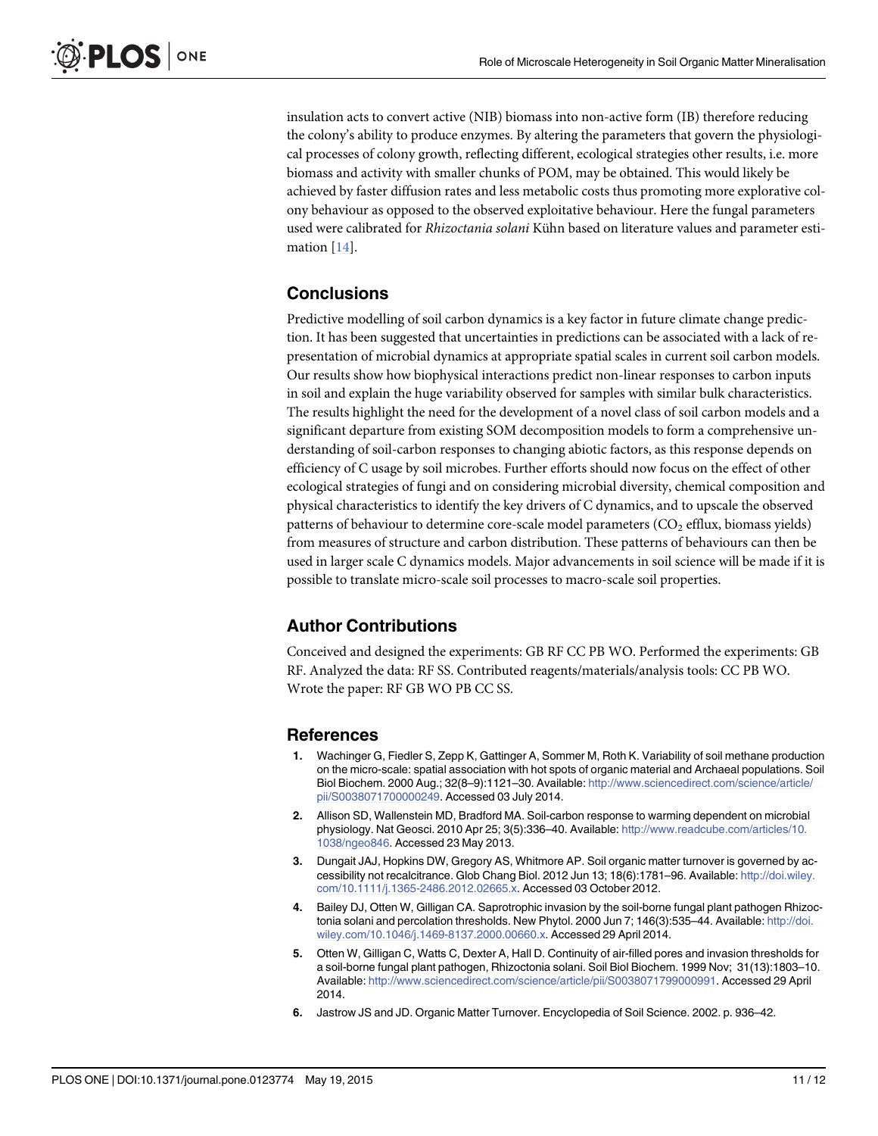<span id="page-10-0"></span>insulation acts to convert active (NIB) biomass into non-active form (IB) therefore reducing the colony's ability to produce enzymes. By altering the parameters that govern the physiological processes of colony growth, reflecting different, ecological strategies other results, i.e. more biomass and activity with smaller chunks of POM, may be obtained. This would likely be achieved by faster diffusion rates and less metabolic costs thus promoting more explorative colony behaviour as opposed to the observed exploitative behaviour. Here the fungal parameters used were calibrated for Rhizoctania solani Kühn based on literature values and parameter estimation [\[14\]](#page-11-0).

#### **Conclusions**

Predictive modelling of soil carbon dynamics is a key factor in future climate change prediction. It has been suggested that uncertainties in predictions can be associated with a lack of representation of microbial dynamics at appropriate spatial scales in current soil carbon models. Our results show how biophysical interactions predict non-linear responses to carbon inputs in soil and explain the huge variability observed for samples with similar bulk characteristics. The results highlight the need for the development of a novel class of soil carbon models and a significant departure from existing SOM decomposition models to form a comprehensive understanding of soil-carbon responses to changing abiotic factors, as this response depends on efficiency of C usage by soil microbes. Further efforts should now focus on the effect of other ecological strategies of fungi and on considering microbial diversity, chemical composition and physical characteristics to identify the key drivers of C dynamics, and to upscale the observed patterns of behaviour to determine core-scale model parameters  $(CO<sub>2</sub>$  efflux, biomass yields) from measures of structure and carbon distribution. These patterns of behaviours can then be used in larger scale C dynamics models. Major advancements in soil science will be made if it is possible to translate micro-scale soil processes to macro-scale soil properties.

#### Author Contributions

Conceived and designed the experiments: GB RF CC PB WO. Performed the experiments: GB RF. Analyzed the data: RF SS. Contributed reagents/materials/analysis tools: CC PB WO. Wrote the paper: RF GB WO PB CC SS.

#### **References**

- [1.](#page-1-0) Wachinger G, Fiedler S, Zepp K, Gattinger A, Sommer M, Roth K. Variability of soil methane production on the micro-scale: spatial association with hot spots of organic material and Archaeal populations. Soil Biol Biochem. 2000 Aug.; 32(8–9):1121–30. Available: [http://www.sciencedirect.com/science/article/](http://www.sciencedirect.com/science/article/pii/S0038071700000249) [pii/S0038071700000249.](http://www.sciencedirect.com/science/article/pii/S0038071700000249) Accessed 03 July 2014.
- [2.](#page-1-0) Allison SD, Wallenstein MD, Bradford MA. Soil-carbon response to warming dependent on microbial physiology. Nat Geosci. 2010 Apr 25; 3(5):336–40. Available: [http://www.readcube.com/articles/10.](http://www.readcube.com/articles/10.1038/ngeo846) [1038/ngeo846.](http://www.readcube.com/articles/10.1038/ngeo846) Accessed 23 May 2013.
- [3.](#page-1-0) Dungait JAJ, Hopkins DW, Gregory AS, Whitmore AP. Soil organic matter turnover is governed by accessibility not recalcitrance. Glob Chang Biol. 2012 Jun 13; 18(6):1781–96. Available: [http://doi.wiley.](http://doi.wiley.com/10.1111/j.1365-2486.2012.02665.x) [com/10.1111/j.1365-2486.2012.02665.x.](http://doi.wiley.com/10.1111/j.1365-2486.2012.02665.x) Accessed 03 October 2012.
- [4.](#page-1-0) Bailey DJ, Otten W, Gilligan CA. Saprotrophic invasion by the soil-borne fungal plant pathogen Rhizoctonia solani and percolation thresholds. New Phytol. 2000 Jun 7; 146(3):535–44. Available: [http://doi.](http://doi.wiley.com/10.1046/j.1469-8137.2000.00660.x) [wiley.com/10.1046/j.1469-8137.2000.00660.x](http://doi.wiley.com/10.1046/j.1469-8137.2000.00660.x). Accessed 29 April 2014.
- [5.](#page-1-0) Otten W, Gilligan C, Watts C, Dexter A, Hall D. Continuity of air-filled pores and invasion thresholds for a soil-borne fungal plant pathogen, Rhizoctonia solani. Soil Biol Biochem. 1999 Nov; 31(13):1803–10. Available: [http://www.sciencedirect.com/science/article/pii/S0038071799000991.](http://www.sciencedirect.com/science/article/pii/S0038071799000991) Accessed 29 April 2014.
- [6.](#page-1-0) Jastrow JS and JD. Organic Matter Turnover. Encyclopedia of Soil Science. 2002. p. 936–42.